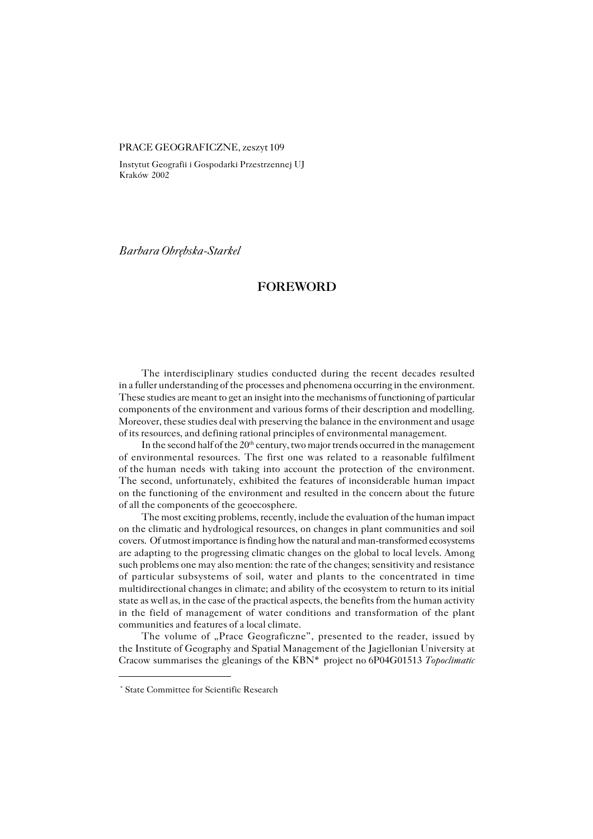## PRACE GEOGRAFICZNE, zeszyt 109

Instytut Geografii i Gospodarki Przestrzennej UJ Kraków 2002

*Barbara Obrębska−Starkel*

## **FOREWORD**

The interdisciplinary studies conducted during the recent decades resulted in a fuller understanding of the processes and phenomena occurring in the environment. These studies are meant to get an insight into the mechanisms of functioning of particular components of the environment and various forms of their description and modelling. Moreover, these studies deal with preserving the balance in the environment and usage of its resources, and defining rational principles of environmental management.

In the second half of the  $20<sup>th</sup>$  century, two major trends occurred in the management of environmental resources. The first one was related to a reasonable fulfilment of the human needs with taking into account the protection of the environment. The second, unfortunately, exhibited the features of inconsiderable human impact on the functioning of the environment and resulted in the concern about the future of all the components of the geoecosphere.

The most exciting problems, recently, include the evaluation of the human impact on the climatic and hydrological resources, on changes in plant communities and soil covers. Of utmost importance is finding how the natural and man−transformed ecosystems are adapting to the progressing climatic changes on the global to local levels. Among such problems one may also mention: the rate of the changes; sensitivity and resistance of particular subsystems of soil, water and plants to the concentrated in time multidirectional changes in climate; and ability of the ecosystem to return to its initial state as well as, in the case of the practical aspects, the benefits from the human activity in the field of management of water conditions and transformation of the plant communities and features of a local climate.

The volume of "Prace Geograficzne", presented to the reader, issued by the Institute of Geography and Spatial Management of the Jagiellonian University at Cracow summarises the gleanings of the KBN\* project no6P04G01513 *Topoclimatic*

<sup>\*</sup> State Committee for Scientific Research